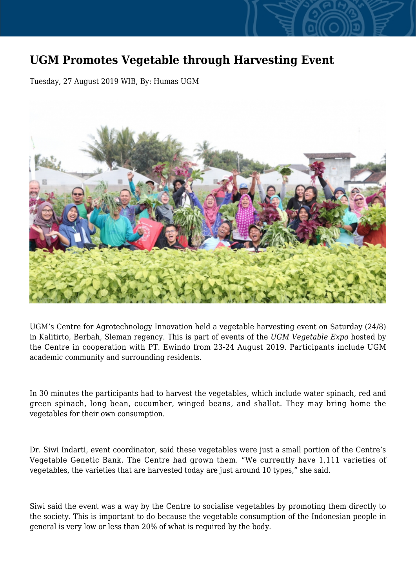## **UGM Promotes Vegetable through Harvesting Event**

Tuesday, 27 August 2019 WIB, By: Humas UGM



UGM's Centre for Agrotechnology Innovation held a vegetable harvesting event on Saturday (24/8) in Kalitirto, Berbah, Sleman regency. This is part of events of the *UGM Vegetable Expo* hosted by the Centre in cooperation with PT. Ewindo from 23-24 August 2019. Participants include UGM academic community and surrounding residents.

In 30 minutes the participants had to harvest the vegetables, which include water spinach, red and green spinach, long bean, cucumber, winged beans, and shallot. They may bring home the vegetables for their own consumption.

Dr. Siwi Indarti, event coordinator, said these vegetables were just a small portion of the Centre's Vegetable Genetic Bank. The Centre had grown them. "We currently have 1,111 varieties of vegetables, the varieties that are harvested today are just around 10 types," she said.

Siwi said the event was a way by the Centre to socialise vegetables by promoting them directly to the society. This is important to do because the vegetable consumption of the Indonesian people in general is very low or less than 20% of what is required by the body.